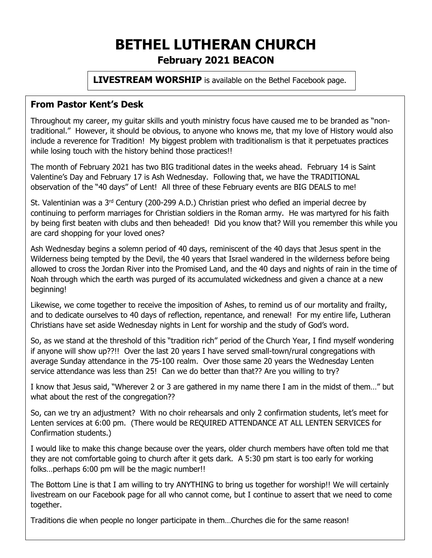# **BETHEL LUTHERAN CHURCH February 2021 BEACON**

**LIVESTREAM WORSHIP** is available on the Bethel Facebook page.

### **From Pastor Kent's Desk**

Throughout my career, my guitar skills and youth ministry focus have caused me to be branded as "nontraditional." However, it should be obvious, to anyone who knows me, that my love of History would also include a reverence for Tradition! My biggest problem with traditionalism is that it perpetuates practices while losing touch with the history behind those practices!!

The month of February 2021 has two BIG traditional dates in the weeks ahead. February 14 is Saint Valentine's Day and February 17 is Ash Wednesday. Following that, we have the TRADITIONAL observation of the "40 days" of Lent! All three of these February events are BIG DEALS to me!

St. Valentinian was a 3<sup>rd</sup> Century (200-299 A.D.) Christian priest who defied an imperial decree by continuing to perform marriages for Christian soldiers in the Roman army. He was martyred for his faith by being first beaten with clubs and then beheaded! Did you know that? Will you remember this while you are card shopping for your loved ones?

Ash Wednesday begins a solemn period of 40 days, reminiscent of the 40 days that Jesus spent in the Wilderness being tempted by the Devil, the 40 years that Israel wandered in the wilderness before being allowed to cross the Jordan River into the Promised Land, and the 40 days and nights of rain in the time of Noah through which the earth was purged of its accumulated wickedness and given a chance at a new beginning!

Likewise, we come together to receive the imposition of Ashes, to remind us of our mortality and frailty, and to dedicate ourselves to 40 days of reflection, repentance, and renewal! For my entire life, Lutheran Christians have set aside Wednesday nights in Lent for worship and the study of God's word.

So, as we stand at the threshold of this "tradition rich" period of the Church Year, I find myself wondering if anyone will show up??!! Over the last 20 years I have served small-town/rural congregations with average Sunday attendance in the 75-100 realm. Over those same 20 years the Wednesday Lenten service attendance was less than 25! Can we do better than that?? Are you willing to try?

I know that Jesus said, "Wherever 2 or 3 are gathered in my name there I am in the midst of them…" but what about the rest of the congregation??

So, can we try an adjustment? With no choir rehearsals and only 2 confirmation students, let's meet for Lenten services at 6:00 pm. (There would be REQUIRED ATTENDANCE AT ALL LENTEN SERVICES for Confirmation students.)

I would like to make this change because over the years, older church members have often told me that they are not comfortable going to church after it gets dark. A 5:30 pm start is too early for working folks…perhaps 6:00 pm will be the magic number!!

The Bottom Line is that I am willing to try ANYTHING to bring us together for worship!! We will certainly livestream on our Facebook page for all who cannot come, but I continue to assert that we need to come together.

Traditions die when people no longer participate in them…Churches die for the same reason!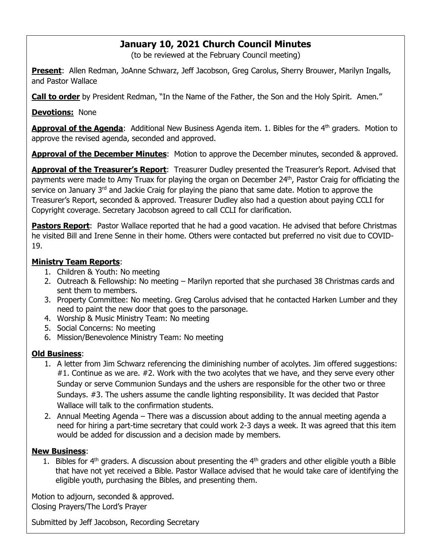## **January 10, 2021 Church Council Minutes**

(to be reviewed at the February Council meeting)

**Present**: Allen Redman, JoAnne Schwarz, Jeff Jacobson, Greg Carolus, Sherry Brouwer, Marilyn Ingalls, and Pastor Wallace

**Call to order** by President Redman, "In the Name of the Father, the Son and the Holy Spirit. Amen."

**Devotions:** None

Approval of the Agenda: Additional New Business Agenda item. 1. Bibles for the 4<sup>th</sup> graders. Motion to approve the revised agenda, seconded and approved.

Approval of the December Minutes: Motion to approve the December minutes, seconded & approved.

**Approval of the Treasurer's Report**: Treasurer Dudley presented the Treasurer's Report. Advised that payments were made to Amy Truax for playing the organ on December 24<sup>th</sup>, Pastor Craig for officiating the service on January 3<sup>rd</sup> and Jackie Craig for playing the piano that same date. Motion to approve the Treasurer's Report, seconded & approved. Treasurer Dudley also had a question about paying CCLI for Copyright coverage. Secretary Jacobson agreed to call CCLI for clarification.

**Pastors Report**: Pastor Wallace reported that he had a good vacation. He advised that before Christmas he visited Bill and Irene Senne in their home. Others were contacted but preferred no visit due to COVID-19.

#### **Ministry Team Reports**:

- 1. Children & Youth: No meeting
- 2. Outreach & Fellowship: No meeting Marilyn reported that she purchased 38 Christmas cards and sent them to members.
- 3. Property Committee: No meeting. Greg Carolus advised that he contacted Harken Lumber and they need to paint the new door that goes to the parsonage.
- 4. Worship & Music Ministry Team: No meeting
- 5. Social Concerns: No meeting
- 6. Mission/Benevolence Ministry Team: No meeting

#### **Old Business**:

- 1. A letter from Jim Schwarz referencing the diminishing number of acolytes. Jim offered suggestions: #1. Continue as we are. #2. Work with the two acolytes that we have, and they serve every other Sunday or serve Communion Sundays and the ushers are responsible for the other two or three Sundays. #3. The ushers assume the candle lighting responsibility. It was decided that Pastor Wallace will talk to the confirmation students.
- 2. Annual Meeting Agenda There was a discussion about adding to the annual meeting agenda a need for hiring a part-time secretary that could work 2-3 days a week. It was agreed that this item would be added for discussion and a decision made by members.

#### **New Business**:

1. Bibles for  $4<sup>th</sup>$  graders. A discussion about presenting the  $4<sup>th</sup>$  graders and other eligible youth a Bible that have not yet received a Bible. Pastor Wallace advised that he would take care of identifying the eligible youth, purchasing the Bibles, and presenting them.

Motion to adjourn, seconded & approved. Closing Prayers/The Lord's Prayer

Submitted by Jeff Jacobson, Recording Secretary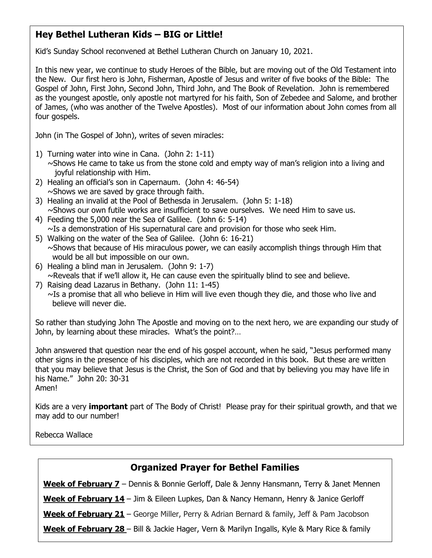# **Hey Bethel Lutheran Kids – BIG or Little!**

Kid's Sunday School reconvened at Bethel Lutheran Church on January 10, 2021.

In this new year, we continue to study Heroes of the Bible, but are moving out of the Old Testament into the New. Our first hero is John, Fisherman, Apostle of Jesus and writer of five books of the Bible: The Gospel of John, First John, Second John, Third John, and The Book of Revelation. John is remembered as the youngest apostle, only apostle not martyred for his faith, Son of Zebedee and Salome, and brother of James, (who was another of the Twelve Apostles). Most of our information about John comes from all four gospels.

John (in The Gospel of John), writes of seven miracles:

- 1) Turning water into wine in Cana. (John 2: 1-11) ~Shows He came to take us from the stone cold and empty way of man's religion into a living and joyful relationship with Him.
- 2) Healing an official's son in Capernaum. (John 4: 46-54)  $\sim$ Shows we are saved by grace through faith.
- 3) Healing an invalid at the Pool of Bethesda in Jerusalem. (John 5: 1-18)  $\sim$ Shows our own futile works are insufficient to save ourselves. We need Him to save us.
- 4) Feeding the 5,000 near the Sea of Galilee. (John 6: 5-14)  $\sim$ Is a demonstration of His supernatural care and provision for those who seek Him.
- 5) Walking on the water of the Sea of Galilee. (John 6: 16-21)  $\sim$ Shows that because of His miraculous power, we can easily accomplish things through Him that would be all but impossible on our own.
- 6) Healing a blind man in Jerusalem. (John 9: 1-7) ~Reveals that if we'll allow it, He can cause even the spiritually blind to see and believe.
- 7) Raising dead Lazarus in Bethany. (John 11: 1-45) ~Is a promise that all who believe in Him will live even though they die, and those who live and believe will never die.

So rather than studying John The Apostle and moving on to the next hero, we are expanding our study of John, by learning about these miracles. What's the point?…

John answered that question near the end of his gospel account, when he said, "Jesus performed many other signs in the presence of his disciples, which are not recorded in this book. But these are written that you may believe that Jesus is the Christ, the Son of God and that by believing you may have life in his Name." John 20: 30-31 Amen!

Kids are a very **important** part of The Body of Christ! Please pray for their spiritual growth, and that we may add to our number!

Rebecca Wallace

| <b>Organized Prayer for Bethel Families</b>                                                         |
|-----------------------------------------------------------------------------------------------------|
| Week of February 7 - Dennis & Bonnie Gerloff, Dale & Jenny Hansmann, Terry & Janet Mennen           |
| <b>Week of February 14</b> - Jim & Eileen Lupkes, Dan & Nancy Hemann, Henry & Janice Gerloff        |
| <b>Week of February 21</b> - George Miller, Perry & Adrian Bernard & family, Jeff & Pam Jacobson    |
| <b>Week of February 28</b> – Bill & Jackie Hager, Vern & Marilyn Ingalls, Kyle & Mary Rice & family |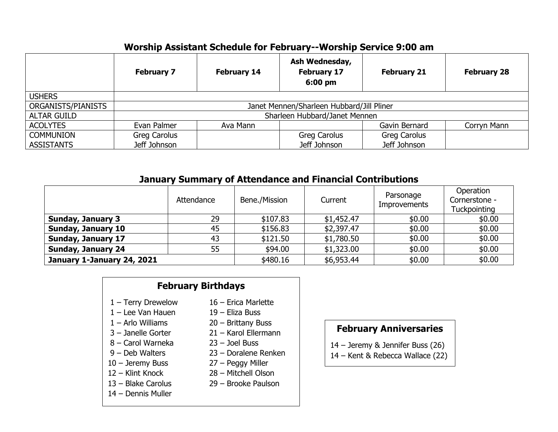# **Worship Assistant Schedule for February--Worship Service 9:00 am**

|                    | <b>February 7</b>                         | <b>February 14</b> | Ash Wednesday,<br><b>February 17</b><br>$6:00 \text{ pm}$ | <b>February 21</b>  | <b>February 28</b> |  |  |
|--------------------|-------------------------------------------|--------------------|-----------------------------------------------------------|---------------------|--------------------|--|--|
| <b>USHERS</b>      |                                           |                    |                                                           |                     |                    |  |  |
| ORGANISTS/PIANISTS | Janet Mennen/Sharleen Hubbard/Jill Pliner |                    |                                                           |                     |                    |  |  |
| <b>ALTAR GUILD</b> | Sharleen Hubbard/Janet Mennen             |                    |                                                           |                     |                    |  |  |
| <b>ACOLYTES</b>    | Evan Palmer                               | Ava Mann           |                                                           | Gavin Bernard       | Corryn Mann        |  |  |
| <b>COMMUNION</b>   | Greg Carolus                              |                    | Greg Carolus                                              | <b>Greg Carolus</b> |                    |  |  |
| <b>ASSISTANTS</b>  | Jeff Johnson                              |                    | Jeff Johnson                                              | Jeff Johnson        |                    |  |  |

### **January Summary of Attendance and Financial Contributions**

|                            | Attendance | Bene./Mission | Current    | Parsonage<br><b>Improvements</b> | Operation<br>Cornerstone -<br>Tuckpointing |
|----------------------------|------------|---------------|------------|----------------------------------|--------------------------------------------|
| <b>Sunday, January 3</b>   | 29         | \$107.83      | \$1,452.47 | \$0.00                           | \$0.00                                     |
| <b>Sunday, January 10</b>  | 45         | \$156.83      | \$2,397.47 | \$0.00                           | \$0.00                                     |
| <b>Sunday, January 17</b>  | 43         | \$121.50      | \$1,780.50 | \$0.00                           | \$0.00                                     |
| <b>Sunday, January 24</b>  | 55         | \$94.00       | \$1,323.00 | \$0.00                           | \$0.00                                     |
| January 1-January 24, 2021 |            | \$480.16      | \$6,953.44 | \$0.00                           | \$0.00                                     |

### **February Birthdays**

- 
- 1 Lee Van Hauen 19 Eliza Buss
- 
- 
- 8 Carol Warneka 23 Joel Buss
- 
- 
- 
- 
- 14 Dennis Muller
- 1 Terry Drewelow 16 Erica Marlette
	-
- 1 Arlo Williams 20 Brittany Buss
- 3 Janelle Gorter 21 Karol Ellermann
	-
- 9 Deb Walters 23 Doralene Renken
- 10 Jeremy Buss 27 Peggy Miller
- 12 Klint Knock 28 Mitchell Olson
- 13 Blake Carolus 29 Brooke Paulson

# **February Anniversaries**

- 14 Jeremy & Jennifer Buss (26)
- 14 Kent & Rebecca Wallace (22)